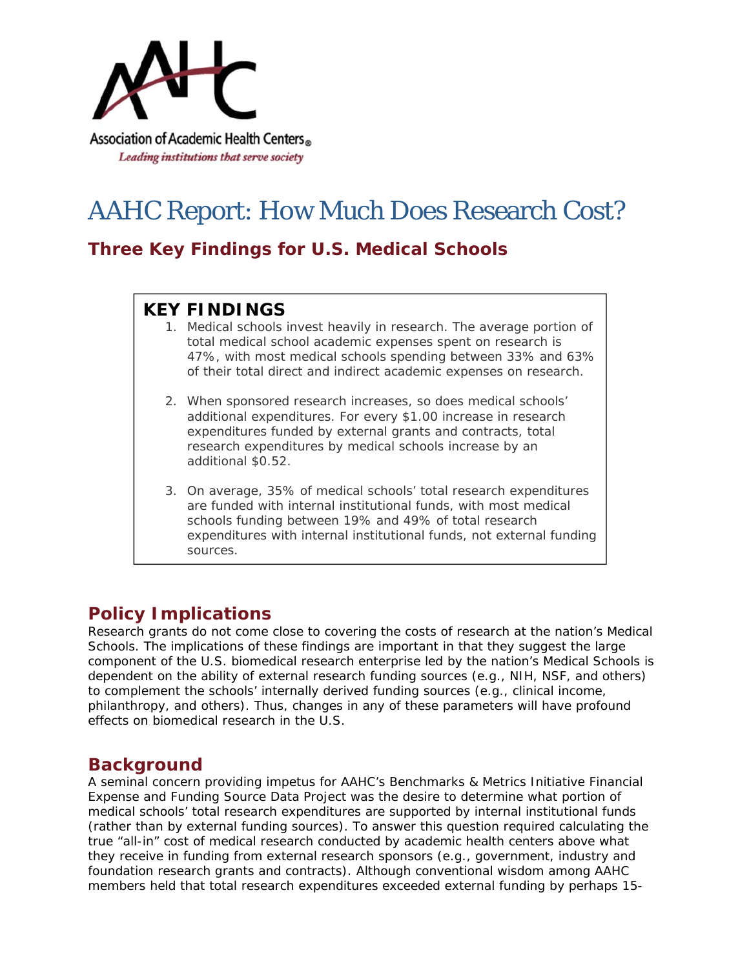

# AAHC Report: How Much Does Research Cost?

# **Three Key Findings for U.S. Medical Schools**

## **KEY FINDINGS**

- 1. Medical schools invest heavily in research. The average portion of total medical school academic expenses spent on research is 47%, with most medical schools spending between 33% and 63% of their total direct and indirect academic expenses on research.
- 2. When sponsored research increases, so does medical schools' additional expenditures. For every \$1.00 increase in research expenditures funded by external grants and contracts, total research expenditures by medical schools increase by an additional \$0.52.
- 3. On average, 35% of medical schools' total research expenditures are funded with internal institutional funds, with most medical schools funding between 19% and 49% of total research expenditures with internal institutional funds, not external funding sources.

# **Policy Implications**

Research grants do not come close to covering the costs of research at the nation's Medical Schools. The implications of these findings are important in that they suggest the large component of the U.S. biomedical research enterprise led by the nation's Medical Schools is dependent on the ability of external research funding sources (*e.g.,* NIH, NSF, and others) to complement the schools' internally derived funding sources (*e.g.,* clinical income, philanthropy, and others). Thus, changes in any of these parameters will have profound effects on biomedical research in the U.S.

## **Background**

A seminal concern providing impetus for AAHC's *Benchmarks & Metrics Initiative Financial Expense and Funding Source Data Project* was the desire to determine what portion of medical schools' total research expenditures are supported by internal institutional funds (rather than by external funding sources). To answer this question required calculating the true "all-in" cost of medical research conducted by academic health centers above what they receive in funding from external research sponsors (e.g., government, industry and foundation research grants and contracts). Although conventional wisdom among AAHC members held that total research expenditures exceeded external funding by perhaps 15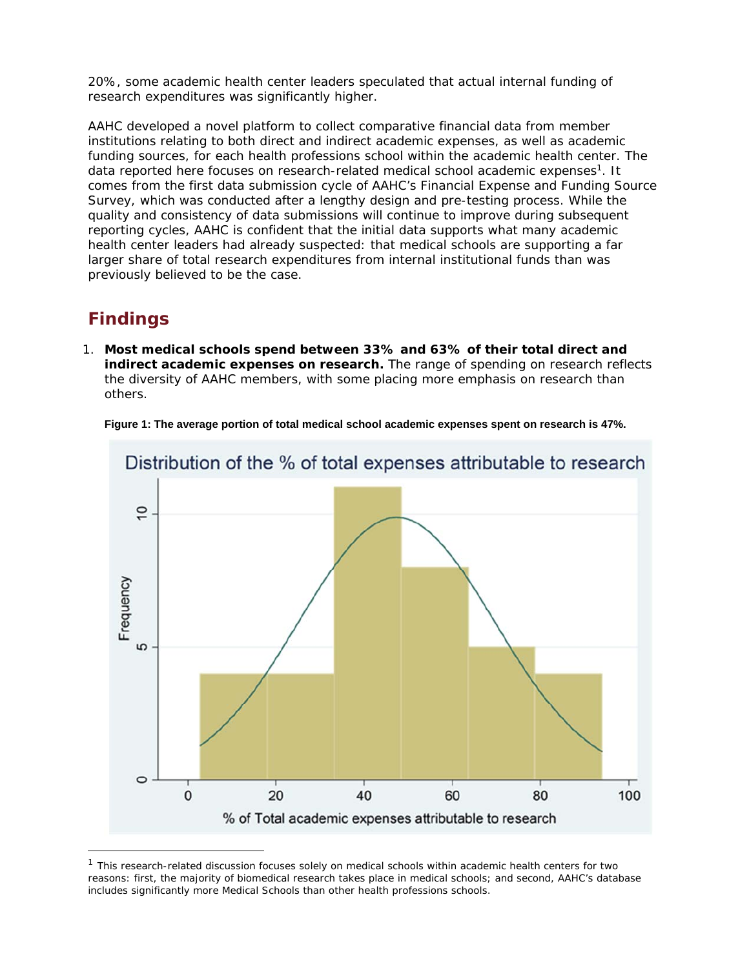20%, some academic health center leaders speculated that actual internal funding of research expenditures was significantly higher.

AAHC developed a novel platform to collect comparative financial data from member institutions relating to both direct and indirect academic expenses, as well as academic funding sources, for each health professions school within the academic health center. The data reported here focuses on research-related medical school academic expenses1. It comes from the first data submission cycle of AAHC's Financial Expense and Funding Source Survey, which was conducted after a lengthy design and pre-testing process. While the quality and consistency of data submissions will continue to improve during subsequent reporting cycles, AAHC is confident that the initial data supports what many academic health center leaders had already suspected: that medical schools are supporting a far larger share of total research expenditures from internal institutional funds than was previously believed to be the case.

## **Findings**

1. **Most medical schools spend between 33% and 63% of their total direct and indirect academic expenses on research.** The range of spending on research reflects the diversity of AAHC members, with some placing more emphasis on research than others.



**Figure 1: The average portion of total medical school academic expenses spent on research is 47%.** 

 $1$  This research-related discussion focuses solely on medical schools within academic health centers for two reasons: first, the majority of biomedical research takes place in medical schools; and second, AAHC's database includes significantly more Medical Schools than other health professions schools.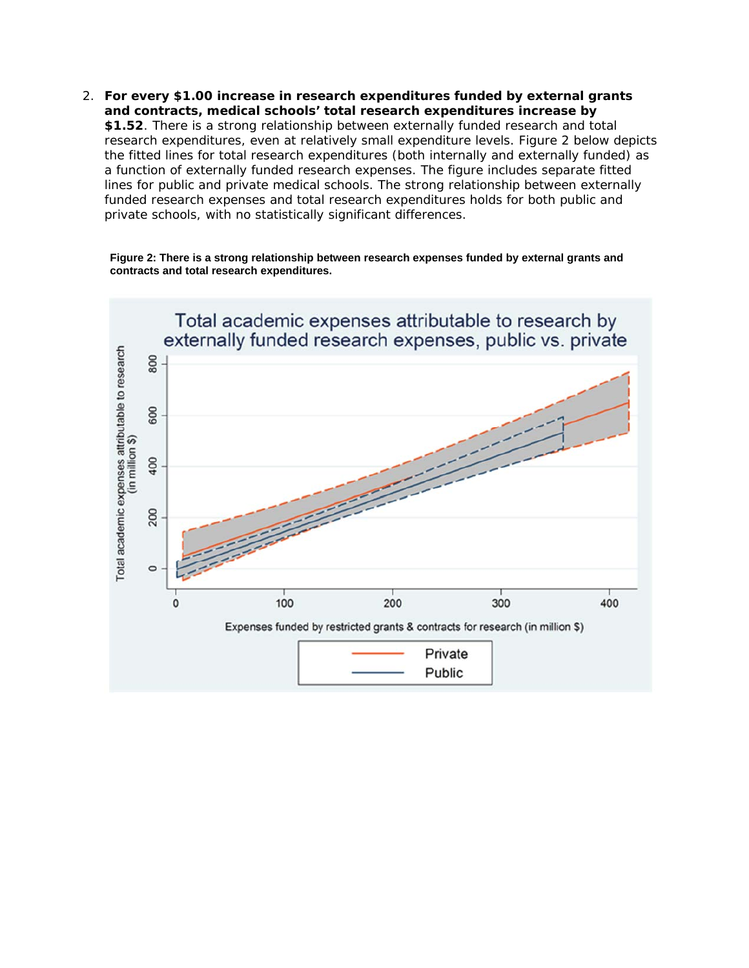2. **For every \$1.00 increase in research expenditures funded by external grants and contracts, medical schools' total research expenditures increase by \$1.52**. There is a strong relationship between externally funded research and total research expenditures, even at relatively small expenditure levels. Figure 2 below depicts the fitted lines for total research expenditures (both internally and externally funded) as a function of externally funded research expenses. The figure includes separate fitted lines for public and private medical schools. The strong relationship between externally funded research expenses and total research expenditures holds for both public and private schools, with no statistically significant differences.



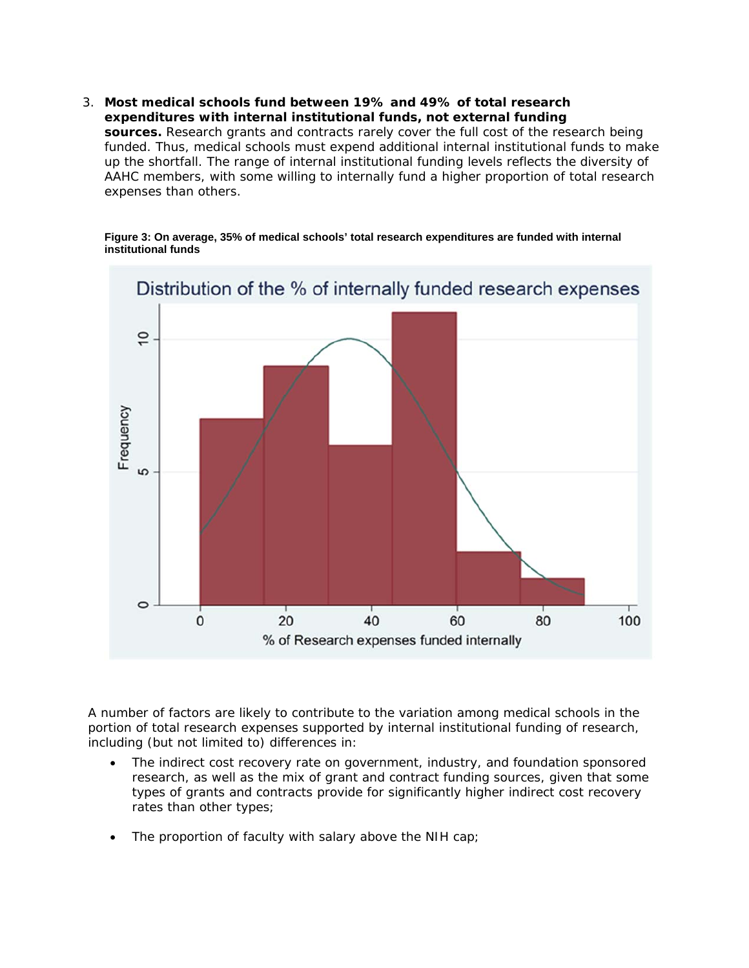3. **Most medical schools fund between 19% and 49% of total research expenditures with internal institutional funds, not external funding sources.** Research grants and contracts rarely cover the full cost of the research being funded. Thus, medical schools must expend additional internal institutional funds to make up the shortfall. The range of internal institutional funding levels reflects the diversity of AAHC members, with some willing to internally fund a higher proportion of total research expenses than others.

#### **Figure 3: On average, 35% of medical schools' total research expenditures are funded with internal institutional funds**



A number of factors are likely to contribute to the variation among medical schools in the portion of total research expenses supported by internal institutional funding of research, including (but not limited to) differences in:

- The indirect cost recovery rate on government, industry, and foundation sponsored research, as well as the mix of grant and contract funding sources, given that some types of grants and contracts provide for significantly higher indirect cost recovery rates than other types;
- The proportion of faculty with salary above the NIH cap;